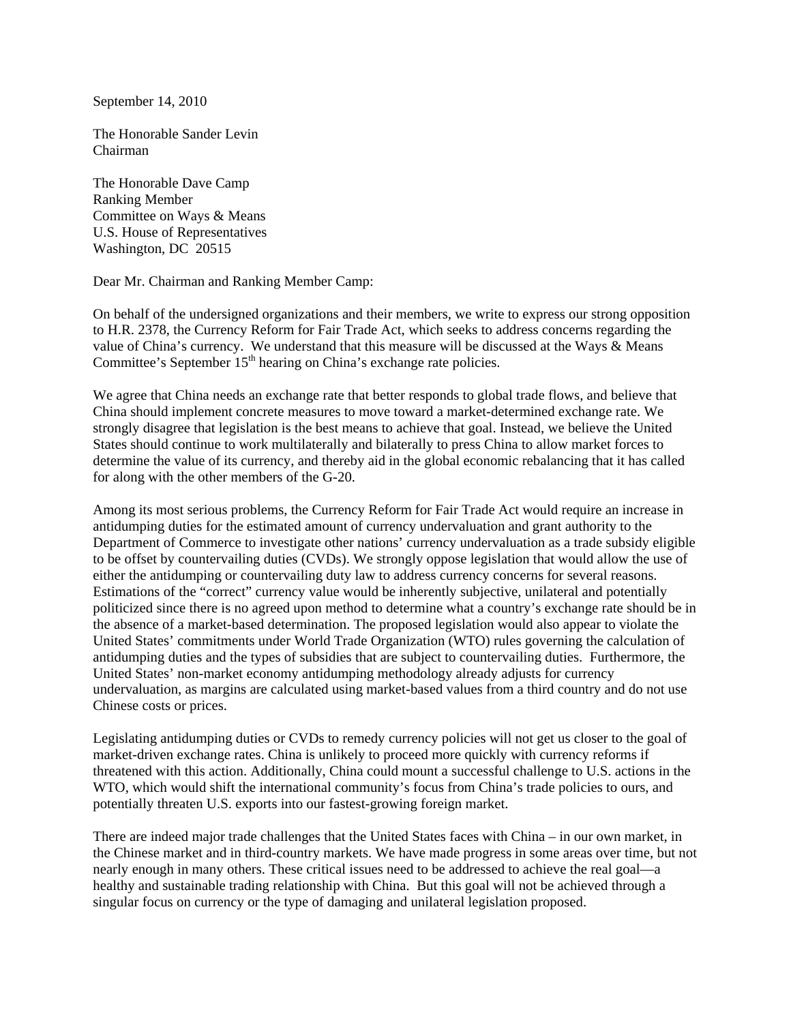September 14, 2010

The Honorable Sander Levin Chairman

The Honorable Dave Camp Ranking Member Committee on Ways & Means U.S. House of Representatives Washington, DC 20515

Dear Mr. Chairman and Ranking Member Camp:

On behalf of the undersigned organizations and their members, we write to express our strong opposition to H.R. 2378, the Currency Reform for Fair Trade Act, which seeks to address concerns regarding the value of China's currency. We understand that this measure will be discussed at the Ways & Means Committee's September  $15<sup>th</sup>$  hearing on China's exchange rate policies.

We agree that China needs an exchange rate that better responds to global trade flows, and believe that China should implement concrete measures to move toward a market-determined exchange rate. We strongly disagree that legislation is the best means to achieve that goal. Instead, we believe the United States should continue to work multilaterally and bilaterally to press China to allow market forces to determine the value of its currency, and thereby aid in the global economic rebalancing that it has called for along with the other members of the G-20.

Among its most serious problems, the Currency Reform for Fair Trade Act would require an increase in antidumping duties for the estimated amount of currency undervaluation and grant authority to the Department of Commerce to investigate other nations' currency undervaluation as a trade subsidy eligible to be offset by countervailing duties (CVDs). We strongly oppose legislation that would allow the use of either the antidumping or countervailing duty law to address currency concerns for several reasons. Estimations of the "correct" currency value would be inherently subjective, unilateral and potentially politicized since there is no agreed upon method to determine what a country's exchange rate should be in the absence of a market-based determination. The proposed legislation would also appear to violate the United States' commitments under World Trade Organization (WTO) rules governing the calculation of antidumping duties and the types of subsidies that are subject to countervailing duties. Furthermore, the United States' non-market economy antidumping methodology already adjusts for currency undervaluation, as margins are calculated using market-based values from a third country and do not use Chinese costs or prices.

Legislating antidumping duties or CVDs to remedy currency policies will not get us closer to the goal of market-driven exchange rates. China is unlikely to proceed more quickly with currency reforms if threatened with this action. Additionally, China could mount a successful challenge to U.S. actions in the WTO, which would shift the international community's focus from China's trade policies to ours, and potentially threaten U.S. exports into our fastest-growing foreign market.

There are indeed major trade challenges that the United States faces with China – in our own market, in the Chinese market and in third-country markets. We have made progress in some areas over time, but not nearly enough in many others. These critical issues need to be addressed to achieve the real goal—a healthy and sustainable trading relationship with China. But this goal will not be achieved through a singular focus on currency or the type of damaging and unilateral legislation proposed.